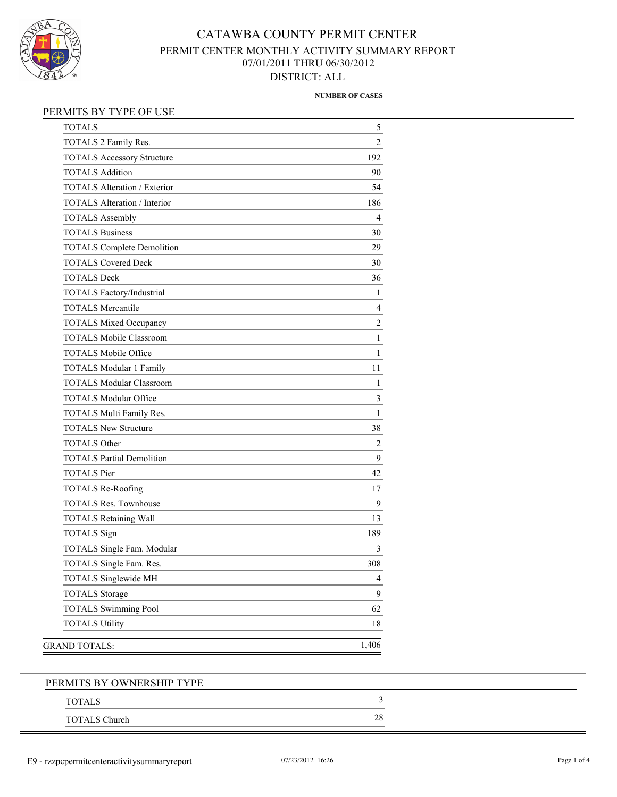

### **NUMBER OF CASES**

### PERMITS BY TYPE OF USE

| <b>TOTALS</b>                       | 5                        |
|-------------------------------------|--------------------------|
| TOTALS 2 Family Res.                | $\overline{2}$           |
| <b>TOTALS Accessory Structure</b>   | 192                      |
| <b>TOTALS Addition</b>              | 90                       |
| <b>TOTALS Alteration / Exterior</b> | 54                       |
| <b>TOTALS Alteration / Interior</b> | 186                      |
| <b>TOTALS Assembly</b>              | $\overline{4}$           |
| <b>TOTALS Business</b>              | 30                       |
| <b>TOTALS Complete Demolition</b>   | 29                       |
| <b>TOTALS Covered Deck</b>          | 30                       |
| <b>TOTALS Deck</b>                  | 36                       |
| TOTALS Factory/Industrial           | 1                        |
| <b>TOTALS Mercantile</b>            | $\overline{4}$           |
| <b>TOTALS Mixed Occupancy</b>       | $\overline{c}$           |
| <b>TOTALS Mobile Classroom</b>      | 1                        |
| <b>TOTALS Mobile Office</b>         | 1                        |
| <b>TOTALS Modular 1 Family</b>      | 11                       |
| <b>TOTALS Modular Classroom</b>     | 1                        |
| <b>TOTALS Modular Office</b>        | 3                        |
| TOTALS Multi Family Res.            | 1                        |
| <b>TOTALS New Structure</b>         | 38                       |
| <b>TOTALS Other</b>                 | $\overline{2}$           |
| <b>TOTALS Partial Demolition</b>    | 9                        |
| <b>TOTALS Pier</b>                  | 42                       |
| <b>TOTALS Re-Roofing</b>            | 17                       |
| <b>TOTALS Res. Townhouse</b>        | 9                        |
| <b>TOTALS Retaining Wall</b>        | 13                       |
| <b>TOTALS</b> Sign                  | 189                      |
| TOTALS Single Fam. Modular          | 3                        |
| TOTALS Single Fam. Res.             | 308                      |
| TOTALS Singlewide MH                | $\overline{\mathcal{L}}$ |
| <b>TOTALS</b> Storage               | 9                        |
| <b>TOTALS Swimming Pool</b>         | 62                       |
| <b>TOTALS Utility</b>               | 18                       |
|                                     | 1,406                    |
| GRAND TOTALS:                       |                          |

| PERMITS BY OWNERSHIP TYPE |    |  |
|---------------------------|----|--|
| <b>TOTALS</b>             |    |  |
| <b>TOTALS Church</b>      | 28 |  |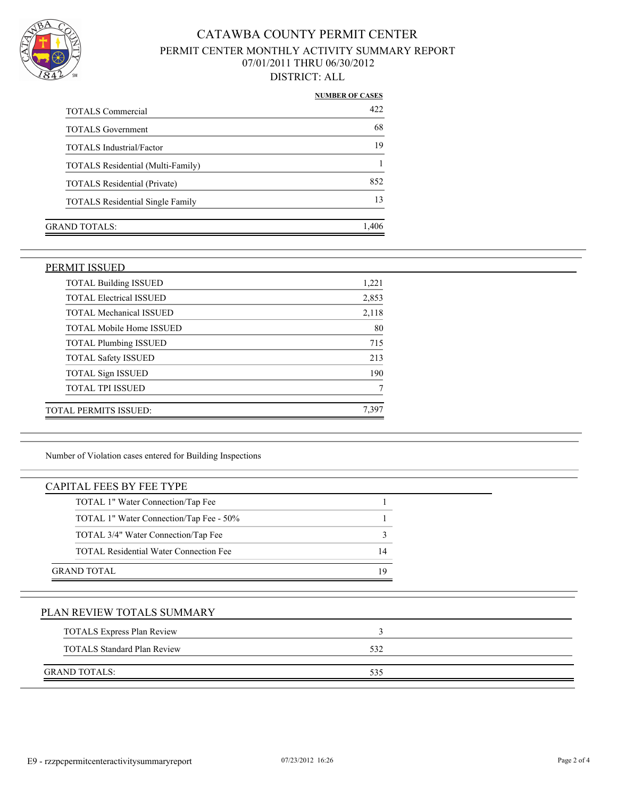

|                                          | <b>NUMBER OF CASES</b> |
|------------------------------------------|------------------------|
| <b>TOTALS Commercial</b>                 | 42.2                   |
| <b>TOTALS</b> Government                 | 68                     |
| <b>TOTALS</b> Industrial/Factor          | 19                     |
| <b>TOTALS Residential (Multi-Family)</b> |                        |
| <b>TOTALS Residential (Private)</b>      | 852                    |
| <b>TOTALS</b> Residential Single Family  | 13                     |
|                                          |                        |
| GRAND TOTALS:                            | 1.406                  |
|                                          |                        |

### PERMIT ISSUED

| <b>TOTAL Building ISSUED</b>    | 1,221 |
|---------------------------------|-------|
| <b>TOTAL Electrical ISSUED</b>  | 2,853 |
| <b>TOTAL Mechanical ISSUED</b>  | 2,118 |
| <b>TOTAL Mobile Home ISSUED</b> | 80    |
| <b>TOTAL Plumbing ISSUED</b>    | 715   |
| <b>TOTAL Safety ISSUED</b>      | 213   |
| <b>TOTAL Sign ISSUED</b>        | 190   |
| <b>TOTAL TPI ISSUED</b>         |       |
| TOTAL PERMITS ISSUED:           | 7.397 |

Number of Violation cases entered for Building Inspections

| <b>CAPITAL FEES BY FEE TYPE</b>               |    |
|-----------------------------------------------|----|
| TOTAL 1" Water Connection/Tap Fee             |    |
| TOTAL 1" Water Connection/Tap Fee - 50%       |    |
| TOTAL 3/4" Water Connection/Tap Fee           | 3  |
| <b>TOTAL Residential Water Connection Fee</b> | 14 |
| <b>GRAND TOTAL</b>                            | 19 |
|                                               |    |

## PLAN REVIEW TOTALS SUMMARY

| <b>TOTALS Express Plan Review</b>  |     |  |
|------------------------------------|-----|--|
| <b>TOTALS Standard Plan Review</b> | 532 |  |
| <b>GRAND TOTALS:</b>               | 535 |  |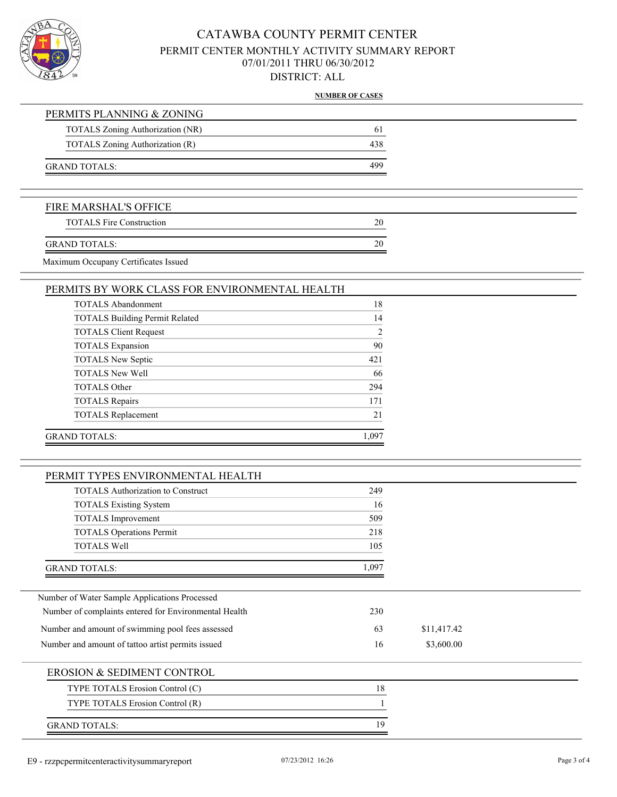

**NUMBER OF CASES**

|                                                | NUMBER OF CHOIC |
|------------------------------------------------|-----------------|
| PERMITS PLANNING & ZONING                      |                 |
| TOTALS Zoning Authorization (NR)               | 61              |
| TOTALS Zoning Authorization (R)                | 438             |
| <b>GRAND TOTALS:</b>                           | 499             |
| FIRE MARSHAL'S OFFICE                          |                 |
| <b>TOTALS Fire Construction</b>                | 20              |
| <b>GRAND TOTALS:</b>                           | 20              |
| Maximum Occupany Certificates Issued           |                 |
| PERMITS BY WORK CLASS FOR ENVIRONMENTAL HEALTH |                 |
| <b>TOTALS Abandonment</b>                      | 18              |
| <b>TOTALS Building Permit Related</b>          | 14              |
| <b>TOTALS Client Request</b>                   | $\overline{2}$  |
| <b>TOTALS</b> Expansion                        | 90              |
| <b>TOTALS New Septic</b>                       | 421             |
| <b>TOTALS New Well</b>                         | 66              |

| TOTALS New Septic         | 42 I  |
|---------------------------|-------|
| <b>TOTALS New Well</b>    | 66    |
| <b>TOTALS Other</b>       | 294   |
| <b>TOTALS Repairs</b>     | 171   |
| <b>TOTALS</b> Replacement | 21    |
| GRAND TOTALS:             | 1.097 |

## PERMIT TYPES ENVIRONMENTAL HEALTH

| 1 DAYIH 1 1 1 1 DQ DI V HAQI WIDI VI IDI IDI ID I II                                                                                                            |                  |             |  |
|-----------------------------------------------------------------------------------------------------------------------------------------------------------------|------------------|-------------|--|
| <b>TOTALS</b> Authorization to Construct<br><b>TOTALS Existing System</b><br><b>TOTALS</b> Improvement<br><b>TOTALS Operations Permit</b><br><b>TOTALS Well</b> | 249              |             |  |
|                                                                                                                                                                 | 16<br>509<br>218 |             |  |
|                                                                                                                                                                 |                  |             |  |
|                                                                                                                                                                 |                  |             |  |
|                                                                                                                                                                 | 105              |             |  |
| <b>GRAND TOTALS:</b>                                                                                                                                            | 1,097            |             |  |
| Number of Water Sample Applications Processed                                                                                                                   |                  |             |  |
| Number of complaints entered for Environmental Health                                                                                                           | 230              |             |  |
| Number and amount of swimming pool fees assessed                                                                                                                | 63               | \$11,417.42 |  |
| Number and amount of tattoo artist permits issued                                                                                                               | 16               | \$3,600.00  |  |
| EROSION & SEDIMENT CONTROL                                                                                                                                      |                  |             |  |
| TYPE TOTALS Erosion Control (C)                                                                                                                                 | 18               |             |  |
| TYPE TOTALS Erosion Control (R)                                                                                                                                 |                  |             |  |
| <b>GRAND TOTALS:</b>                                                                                                                                            | 19               |             |  |